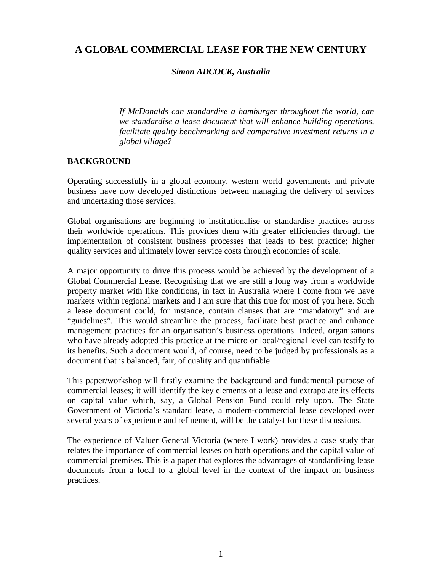# **A GLOBAL COMMERCIAL LEASE FOR THE NEW CENTURY**

### *Simon ADCOCK, Australia*

*If McDonalds can standardise a hamburger throughout the world, can we standardise a lease document that will enhance building operations, facilitate quality benchmarking and comparative investment returns in a global village?*

### **BACKGROUND**

Operating successfully in a global economy, western world governments and private business have now developed distinctions between managing the delivery of services and undertaking those services.

Global organisations are beginning to institutionalise or standardise practices across their worldwide operations. This provides them with greater efficiencies through the implementation of consistent business processes that leads to best practice; higher quality services and ultimately lower service costs through economies of scale.

A major opportunity to drive this process would be achieved by the development of a Global Commercial Lease. Recognising that we are still a long way from a worldwide property market with like conditions, in fact in Australia where I come from we have markets within regional markets and I am sure that this true for most of you here. Such a lease document could, for instance, contain clauses that are "mandatory" and are "guidelines". This would streamline the process, facilitate best practice and enhance management practices for an organisation's business operations. Indeed, organisations who have already adopted this practice at the micro or local/regional level can testify to its benefits. Such a document would, of course, need to be judged by professionals as a document that is balanced, fair, of quality and quantifiable.

This paper/workshop will firstly examine the background and fundamental purpose of commercial leases; it will identify the key elements of a lease and extrapolate its effects on capital value which, say, a Global Pension Fund could rely upon. The State Government of Victoria's standard lease, a modern-commercial lease developed over several years of experience and refinement, will be the catalyst for these discussions.

The experience of Valuer General Victoria (where I work) provides a case study that relates the importance of commercial leases on both operations and the capital value of commercial premises. This is a paper that explores the advantages of standardising lease documents from a local to a global level in the context of the impact on business practices.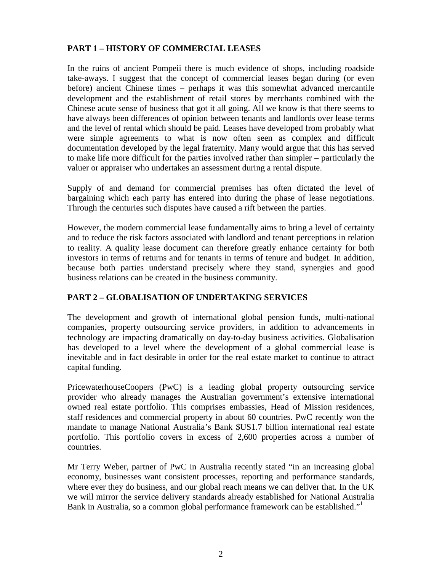## **PART 1 – HISTORY OF COMMERCIAL LEASES**

In the ruins of ancient Pompeii there is much evidence of shops, including roadside take-aways. I suggest that the concept of commercial leases began during (or even before) ancient Chinese times – perhaps it was this somewhat advanced mercantile development and the establishment of retail stores by merchants combined with the Chinese acute sense of business that got it all going. All we know is that there seems to have always been differences of opinion between tenants and landlords over lease terms and the level of rental which should be paid. Leases have developed from probably what were simple agreements to what is now often seen as complex and difficult documentation developed by the legal fraternity. Many would argue that this has served to make life more difficult for the parties involved rather than simpler – particularly the valuer or appraiser who undertakes an assessment during a rental dispute.

Supply of and demand for commercial premises has often dictated the level of bargaining which each party has entered into during the phase of lease negotiations. Through the centuries such disputes have caused a rift between the parties.

However, the modern commercial lease fundamentally aims to bring a level of certainty and to reduce the risk factors associated with landlord and tenant perceptions in relation to reality. A quality lease document can therefore greatly enhance certainty for both investors in terms of returns and for tenants in terms of tenure and budget. In addition, because both parties understand precisely where they stand, synergies and good business relations can be created in the business community.

## **PART 2 – GLOBALISATION OF UNDERTAKING SERVICES**

The development and growth of international global pension funds, multi-national companies, property outsourcing service providers, in addition to advancements in technology are impacting dramatically on day-to-day business activities. Globalisation has developed to a level where the development of a global commercial lease is inevitable and in fact desirable in order for the real estate market to continue to attract capital funding.

PricewaterhouseCoopers (PwC) is a leading global property outsourcing service provider who already manages the Australian government's extensive international owned real estate portfolio. This comprises embassies, Head of Mission residences, staff residences and commercial property in about 60 countries. PwC recently won the mandate to manage National Australia's Bank \$US1.7 billion international real estate portfolio. This portfolio covers in excess of 2,600 properties across a number of countries.

Mr Terry Weber, partner of PwC in Australia recently stated "in an increasing global economy, businesses want consistent processes, reporting and performance standards, where ever they do business, and our global reach means we can deliver that. In the UK we will mirror the service delivery standards already established for National Australia Bank in Australia, so a common global performance framework can be established."<sup>1</sup>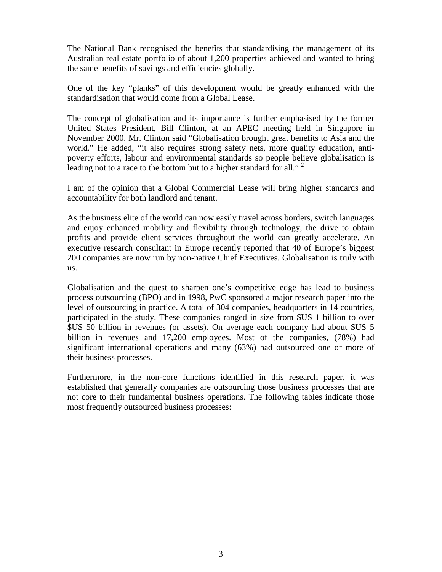The National Bank recognised the benefits that standardising the management of its Australian real estate portfolio of about 1,200 properties achieved and wanted to bring the same benefits of savings and efficiencies globally.

One of the key "planks" of this development would be greatly enhanced with the standardisation that would come from a Global Lease.

The concept of globalisation and its importance is further emphasised by the former United States President, Bill Clinton, at an APEC meeting held in Singapore in November 2000. Mr. Clinton said "Globalisation brought great benefits to Asia and the world." He added, "it also requires strong safety nets, more quality education, antipoverty efforts, labour and environmental standards so people believe globalisation is leading not to a race to the bottom but to a higher standard for all."  $2^{\circ}$ 

I am of the opinion that a Global Commercial Lease will bring higher standards and accountability for both landlord and tenant.

As the business elite of the world can now easily travel across borders, switch languages and enjoy enhanced mobility and flexibility through technology, the drive to obtain profits and provide client services throughout the world can greatly accelerate. An executive research consultant in Europe recently reported that 40 of Europe's biggest 200 companies are now run by non-native Chief Executives. Globalisation is truly with us.

Globalisation and the quest to sharpen one's competitive edge has lead to business process outsourcing (BPO) and in 1998, PwC sponsored a major research paper into the level of outsourcing in practice. A total of 304 companies, headquarters in 14 countries, participated in the study. These companies ranged in size from \$US 1 billion to over \$US 50 billion in revenues (or assets). On average each company had about \$US 5 billion in revenues and 17,200 employees. Most of the companies, (78%) had significant international operations and many (63%) had outsourced one or more of their business processes.

Furthermore, in the non-core functions identified in this research paper, it was established that generally companies are outsourcing those business processes that are not core to their fundamental business operations. The following tables indicate those most frequently outsourced business processes: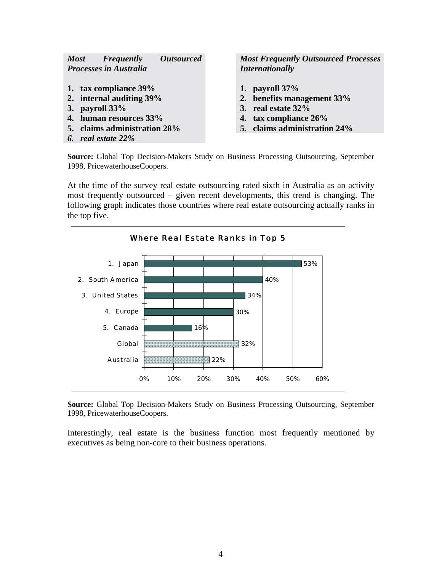| <b>Most</b> | <b>Frequently</b>             | <i><b>Outsourced</b></i> |
|-------------|-------------------------------|--------------------------|
|             | <b>Processes in Australia</b> |                          |

- **1. tax compliance 39% 1. payroll 37%**
- 
- 
- **4. human resources 33% 4. tax compliance 26%**
- **5. claims administration 28% 5. claims administration 24%**
- *6. real estate 22%*

*Most Frequently Outsourced Processes Internationally*

- 
- **2. internal auditing 39% 2. benefits management 33%**
- **3. payroll 33% 3. real estate 32%**
	-
	-

**Source:** Global Top Decision-Makers Study on Business Processing Outsourcing, September 1998, PricewaterhouseCoopers.

At the time of the survey real estate outsourcing rated sixth in Australia as an activity most frequently outsourced – given recent developments, this trend is changing. The following graph indicates those countries where real estate outsourcing actually ranks in the top five.



**Source:** Global Top Decision-Makers Study on Business Processing Outsourcing, September 1998, PricewaterhouseCoopers.

Interestingly, real estate is the business function most frequently mentioned by executives as being non-core to their business operations.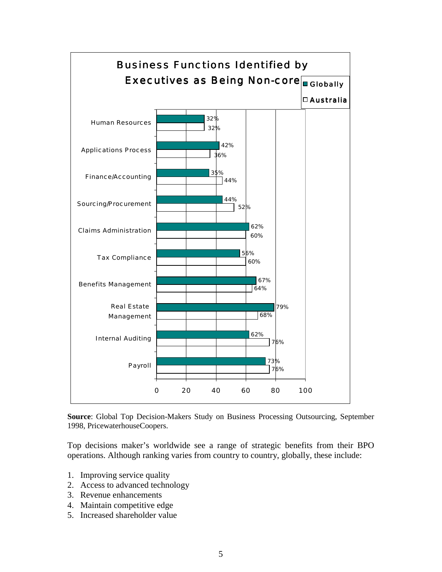

**Source**: Global Top Decision-Makers Study on Business Processing Outsourcing, September 1998, PricewaterhouseCoopers.

Top decisions maker's worldwide see a range of strategic benefits from their BPO operations. Although ranking varies from country to country, globally, these include:

- 1. Improving service quality
- 2. Access to advanced technology
- 3. Revenue enhancements
- 4. Maintain competitive edge
- 5. Increased shareholder value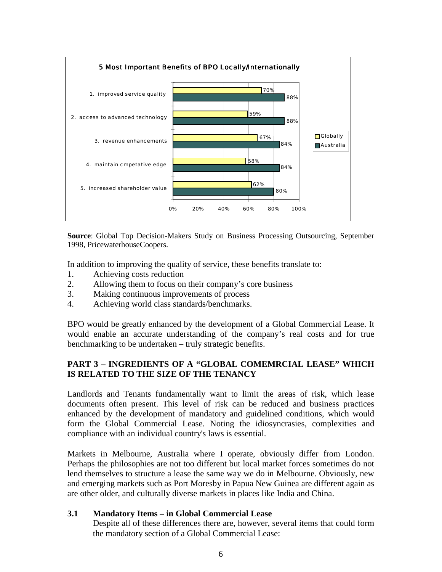

**Source**: Global Top Decision-Makers Study on Business Processing Outsourcing, September 1998, PricewaterhouseCoopers.

In addition to improving the quality of service, these benefits translate to:

- 1. Achieving costs reduction
- 2. Allowing them to focus on their company's core business
- 3. Making continuous improvements of process
- 4. Achieving world class standards/benchmarks.

BPO would be greatly enhanced by the development of a Global Commercial Lease. It would enable an accurate understanding of the company's real costs and for true benchmarking to be undertaken – truly strategic benefits.

## **PART 3 – INGREDIENTS OF A "GLOBAL COMEMRCIAL LEASE" WHICH IS RELATED TO THE SIZE OF THE TENANCY**

Landlords and Tenants fundamentally want to limit the areas of risk, which lease documents often present. This level of risk can be reduced and business practices enhanced by the development of mandatory and guidelined conditions, which would form the Global Commercial Lease. Noting the idiosyncrasies, complexities and compliance with an individual country's laws is essential.

Markets in Melbourne, Australia where I operate, obviously differ from London. Perhaps the philosophies are not too different but local market forces sometimes do not lend themselves to structure a lease the same way we do in Melbourne. Obviously, new and emerging markets such as Port Moresby in Papua New Guinea are different again as are other older, and culturally diverse markets in places like India and China.

### **3.1 Mandatory Items – in Global Commercial Lease**

Despite all of these differences there are, however, several items that could form the mandatory section of a Global Commercial Lease: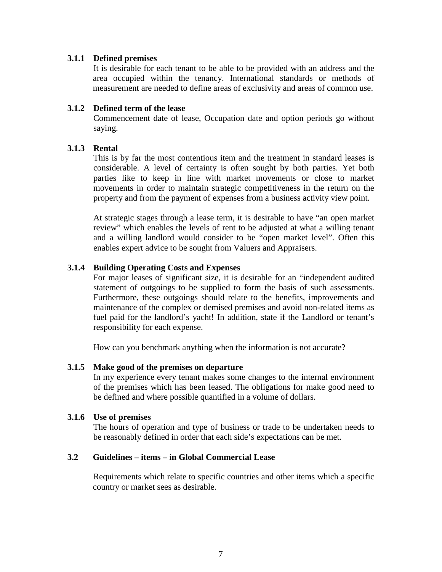### **3.1.1 Defined premises**

It is desirable for each tenant to be able to be provided with an address and the area occupied within the tenancy. International standards or methods of measurement are needed to define areas of exclusivity and areas of common use.

#### **3.1.2 Defined term of the lease**

Commencement date of lease, Occupation date and option periods go without saying.

### **3.1.3 Rental**

This is by far the most contentious item and the treatment in standard leases is considerable. A level of certainty is often sought by both parties. Yet both parties like to keep in line with market movements or close to market movements in order to maintain strategic competitiveness in the return on the property and from the payment of expenses from a business activity view point.

At strategic stages through a lease term, it is desirable to have "an open market review" which enables the levels of rent to be adjusted at what a willing tenant and a willing landlord would consider to be "open market level". Often this enables expert advice to be sought from Valuers and Appraisers.

### **3.1.4 Building Operating Costs and Expenses**

For major leases of significant size, it is desirable for an "independent audited statement of outgoings to be supplied to form the basis of such assessments. Furthermore, these outgoings should relate to the benefits, improvements and maintenance of the complex or demised premises and avoid non-related items as fuel paid for the landlord's yacht! In addition, state if the Landlord or tenant's responsibility for each expense.

How can you benchmark anything when the information is not accurate?

#### **3.1.5 Make good of the premises on departure**

In my experience every tenant makes some changes to the internal environment of the premises which has been leased. The obligations for make good need to be defined and where possible quantified in a volume of dollars.

#### **3.1.6 Use of premises**

The hours of operation and type of business or trade to be undertaken needs to be reasonably defined in order that each side's expectations can be met.

#### **3.2 Guidelines – items – in Global Commercial Lease**

Requirements which relate to specific countries and other items which a specific country or market sees as desirable.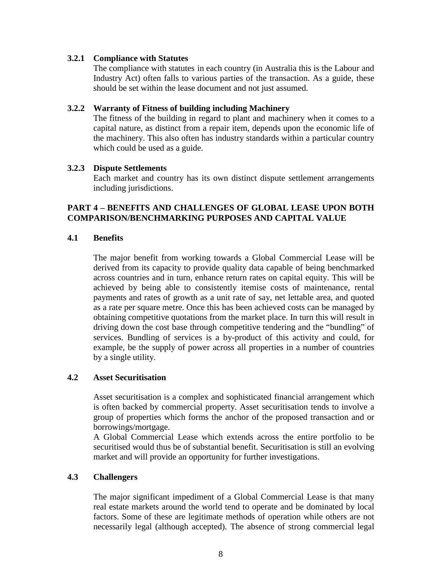### **3.2.1 Compliance with Statutes**

The compliance with statutes in each country (in Australia this is the Labour and Industry Act) often falls to various parties of the transaction. As a guide, these should be set within the lease document and not just assumed.

### **3.2.2 Warranty of Fitness of building including Machinery**

The fitness of the building in regard to plant and machinery when it comes to a capital nature, as distinct from a repair item, depends upon the economic life of the machinery. This also often has industry standards within a particular country which could be used as a guide.

### **3.2.3 Dispute Settlements**

Each market and country has its own distinct dispute settlement arrangements including jurisdictions.

### **PART 4 – BENEFITS AND CHALLENGES OF GLOBAL LEASE UPON BOTH COMPARISON/BENCHMARKING PURPOSES AND CAPITAL VALUE**

### **4.1 Benefits**

The major benefit from working towards a Global Commercial Lease will be derived from its capacity to provide quality data capable of being benchmarked across countries and in turn, enhance return rates on capital equity. This will be achieved by being able to consistently itemise costs of maintenance, rental payments and rates of growth as a unit rate of say, net lettable area, and quoted as a rate per square metre. Once this has been achieved costs can be managed by obtaining competitive quotations from the market place. In turn this will result in driving down the cost base through competitive tendering and the "bundling" of services. Bundling of services is a by-product of this activity and could, for example, be the supply of power across all properties in a number of countries by a single utility.

### **4.2 Asset Securitisation**

Asset securitisation is a complex and sophisticated financial arrangement which is often backed by commercial property. Asset securitisation tends to involve a group of properties which forms the anchor of the proposed transaction and or borrowings/mortgage.

A Global Commercial Lease which extends across the entire portfolio to be securitised would thus be of substantial benefit. Securitisation is still an evolving market and will provide an opportunity for further investigations.

### **4.3 Challengers**

The major significant impediment of a Global Commercial Lease is that many real estate markets around the world tend to operate and be dominated by local factors. Some of these are legitimate methods of operation while others are not necessarily legal (although accepted). The absence of strong commercial legal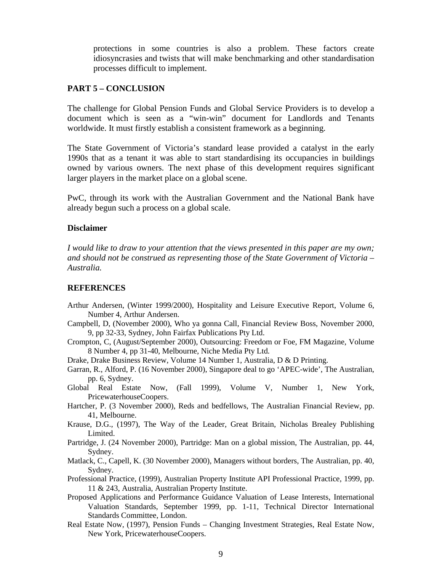protections in some countries is also a problem. These factors create idiosyncrasies and twists that will make benchmarking and other standardisation processes difficult to implement.

#### **PART 5 – CONCLUSION**

The challenge for Global Pension Funds and Global Service Providers is to develop a document which is seen as a "win-win" document for Landlords and Tenants worldwide. It must firstly establish a consistent framework as a beginning.

The State Government of Victoria's standard lease provided a catalyst in the early 1990s that as a tenant it was able to start standardising its occupancies in buildings owned by various owners. The next phase of this development requires significant larger players in the market place on a global scene.

PwC, through its work with the Australian Government and the National Bank have already begun such a process on a global scale.

#### **Disclaimer**

*I would like to draw to your attention that the views presented in this paper are my own; and should not be construed as representing those of the State Government of Victoria – Australia.*

#### **REFERENCES**

- Arthur Andersen, (Winter 1999/2000), Hospitality and Leisure Executive Report, Volume 6, Number 4, Arthur Andersen.
- Campbell, D, (November 2000), Who ya gonna Call, Financial Review Boss, November 2000, 9, pp 32-33, Sydney, John Fairfax Publications Pty Ltd.
- Crompton, C, (August/September 2000), Outsourcing: Freedom or Foe, FM Magazine, Volume 8 Number 4, pp 31-40, Melbourne, Niche Media Pty Ltd.
- Drake, Drake Business Review, Volume 14 Number 1, Australia, D & D Printing.
- Garran, R., Alford, P. (16 November 2000), Singapore deal to go 'APEC-wide', The Australian, pp. 6, Sydney.
- Global Real Estate Now, (Fall 1999), Volume V, Number 1, New York, PricewaterhouseCoopers.
- Hartcher, P. (3 November 2000), Reds and bedfellows, The Australian Financial Review, pp. 41, Melbourne.
- Krause, D.G., (1997), The Way of the Leader, Great Britain, Nicholas Brealey Publishing Limited.
- Partridge, J. (24 November 2000), Partridge: Man on a global mission, The Australian, pp. 44, Sydney.
- Matlack, C., Capell, K. (30 November 2000), Managers without borders, The Australian, pp. 40, Sydney.
- Professional Practice, (1999), Australian Property Institute API Professional Practice, 1999, pp. 11 & 243, Australia, Australian Property Institute.
- Proposed Applications and Performance Guidance Valuation of Lease Interests, International Valuation Standards, September 1999, pp. 1-11, Technical Director International Standards Committee, London.
- Real Estate Now, (1997), Pension Funds Changing Investment Strategies, Real Estate Now, New York, PricewaterhouseCoopers.